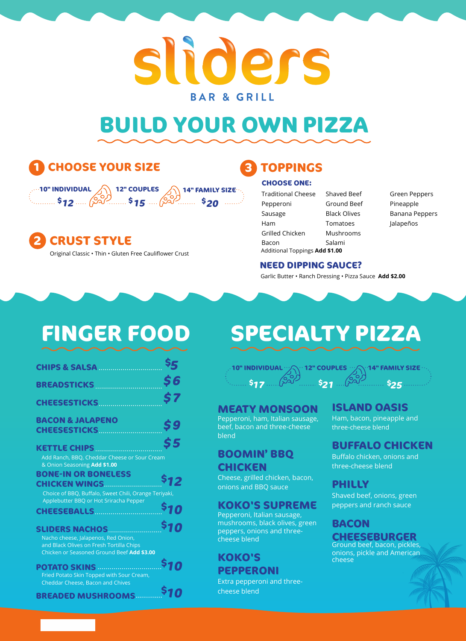# sliders **BAR & GRILL**

# **BUILD YOUR OWN PIZZA**

# **1 CHOOSE YOUR SIZE**



Original Classic • Thin • Gluten Free Cauliflower Crust **2 CRUST STYLE**

### **3 TOPPINGS**

#### **CHOOSE ONE:**

- Additional Toppings **Add \$1.00** Traditional Cheese Pepperoni Sausage Ham Grilled Chicken Bacon Shaved Beef Ground Beef Black Olives Tomatoes Mushrooms Salami
- Green Peppers Pineapple Banana Peppers Jalapeños

#### **NEED DIPPING SAUCE?**

Garlic Butter • Ranch Dressing • Pizza Sauce **Add \$2.00**

| <b>CHIPS &amp; SALSA </b>                                                       | Ş5         |
|---------------------------------------------------------------------------------|------------|
| BREADSTICKS                                                                     | 56         |
|                                                                                 | \$7        |
| CHEESESTICKS                                                                    |            |
| <b>BACON &amp; JALAPENO</b>                                                     | \$9        |
|                                                                                 |            |
| KETTLE CHIPS                                                                    | \$5        |
| Add Ranch, BBQ, Cheddar Cheese or Sour Cream                                    |            |
| & Onion Seasoning Add \$1.00<br><b>BONE-IN OR BONELESS</b>                      |            |
| CHICKEN WINGS                                                                   | \$12       |
| Choice of BBQ, Buffalo, Sweet Chili, Orange Teriyaki,                           |            |
| Applebutter BBQ or Hot Sriracha Pepper<br>CHEESEBALLS                           | \$10       |
|                                                                                 |            |
| SLIDERS NACHOS                                                                  | \$10       |
| Nacho cheese, Jalapenos, Red Onion,<br>and Black Olives on Fresh Tortilla Chips |            |
| Chicken or Seasoned Ground Beef Add \$3.00                                      |            |
| <b>POTATO SKINS MARINE AND REAL PROTECTION</b>                                  | <b>S10</b> |
| Fried Potato Skin Topped with Sour Cream,                                       |            |
| Cheddar Cheese, Bacon and Chives                                                | <b>S10</b> |
| <b>BREADED MUSHROOMS</b>                                                        |            |

# **FINGER FOOD SPECIALTY PIZZA**



**MEATY MONSOON** Pepperoni, ham, Italian sausage, beef, bacon and three-cheese blend

### **BOOMIN' BBQ CHICKEN**

Cheese, grilled chicken, bacon, onions and BBQ sauce

### **KOKO'S SUPREME**

Pepperoni, Italian sausage, mushrooms, black olives, green peppers, onions and threecheese blend

#### **KOKO'S PEPPERONI**

Extra pepperoni and threecheese blend

### **ISLAND OASIS**

Ham, bacon, pineapple and three-cheese blend

### **BUFFALO CHICKEN**

Buffalo chicken, onions and three-cheese blend

### **PHILLY**

Shaved beef, onions, green peppers and ranch sauce

#### **BACON CHEESEBURGER**

Ground beef, bacon, pickles, onions, pickle and American cheese